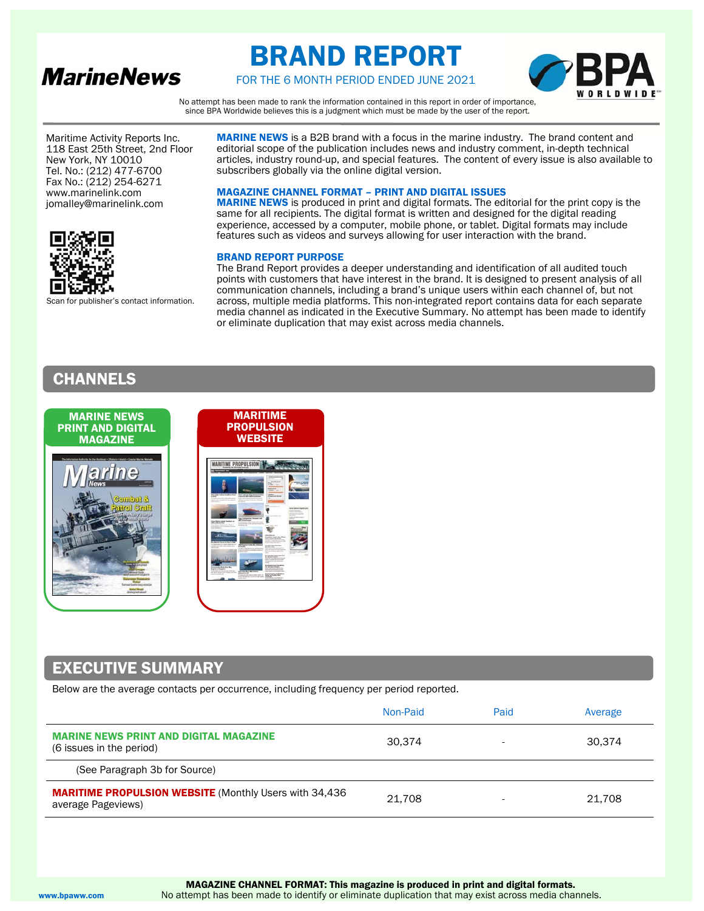

# BRAND REPORT



FOR THE 6 MONTH PERIOD ENDED JUNE 2021

No attempt has been made to rank the information contained in this report in order of importance, since BPA Worldwide believes this is a judgment which must be made by the user of the report.

 New York, NY 10010 Maritime Activity Reports Inc. 118 East 25th Street, 2nd Floor Tel. No.: (212) 477-6700 Fax No.: (212) 254-6271 www.marinelink.com jomalley@marinelink.com



Scan for publisher's contact information.

MARINE NEWS is a B2B brand with a focus in the marine industry. The brand content and editorial scope of the publication includes news and industry comment, in-depth technical articles, industry round-up, and special features. The content of every issue is also available to subscribers globally via the online digital version.

### MAGAZINE CHANNEL FORMAT – PRINT AND DIGITAL ISSUES

MARINE NEWS is produced in print and digital formats. The editorial for the print copy is the same for all recipients. The digital format is written and designed for the digital reading experience, accessed by a computer, mobile phone, or tablet. Digital formats may include features such as videos and surveys allowing for user interaction with the brand.

### BRAND REPORT PURPOSE

The Brand Report provides a deeper understanding and identification of all audited touch points with customers that have interest in the brand. It is designed to present analysis of all communication channels, including a brand's unique users within each channel of, but not across, multiple media platforms. This non-integrated report contains data for each separate media channel as indicated in the Executive Summary. No attempt has been made to identify or eliminate duplication that may exist across media channels.

# CHANNELS



# EXECUTIVE SUMMARY

Below are the average contacts per occurrence, including frequency per period reported.

|                                                                                     | Non-Paid | Paid | Average |
|-------------------------------------------------------------------------------------|----------|------|---------|
| <b>MARINE NEWS PRINT AND DIGITAL MAGAZINE</b><br>(6 issues in the period)           | 30.374   | ۰    | 30.374  |
| (See Paragraph 3b for Source)                                                       |          |      |         |
| <b>MARITIME PROPULSION WEBSITE</b> (Monthly Users with 34,436<br>average Pageviews) | 21.708   |      | 21.708  |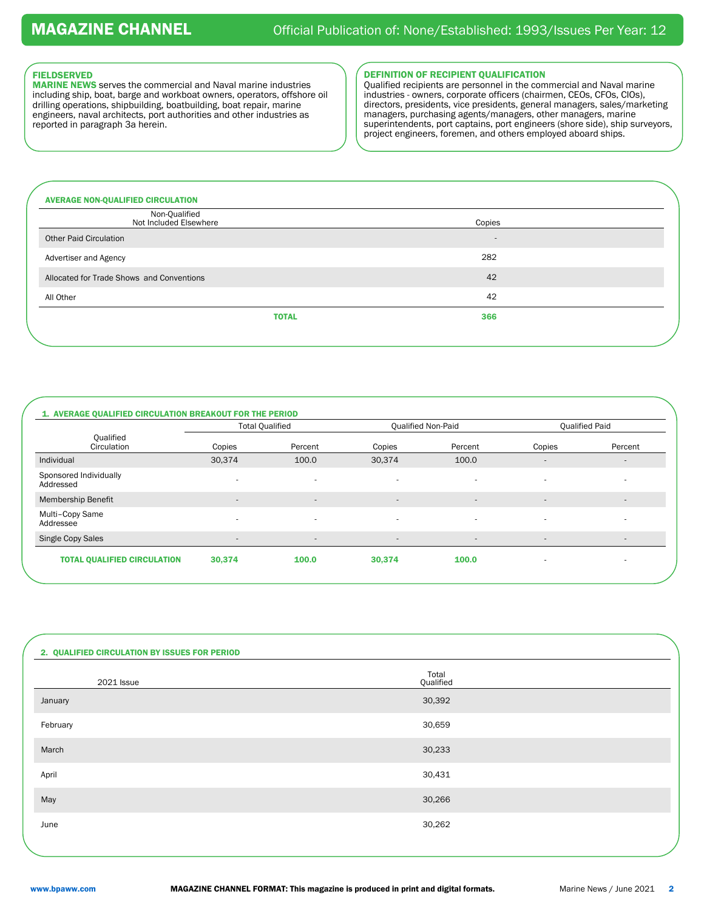# FIELDSERVED

MARINE NEWS serves the commercial and Naval marine industries including ship, boat, barge and workboat owners, operators, offshore oil drilling operations, shipbuilding, boatbuilding, boat repair, marine engineers, naval architects, port authorities and other industries as reported in paragraph 3a herein.

### DEFINITION OF RECIPIENT QUALIFICATION

Qualified recipients are personnel in the commercial and Naval marine industries - owners, corporate officers (chairmen, CEOs, CFOs, CIOs), directors, presidents, vice presidents, general managers, sales/marketing managers, purchasing agents/managers, other managers, marine superintendents, port captains, port engineers (shore side), ship surveyors, project engineers, foremen, and others employed aboard ships.

| <b>AVERAGE NON-QUALIFIED CIRCULATION</b>  |        |
|-------------------------------------------|--------|
| Non-Qualified<br>Not Included Elsewhere   | Copies |
| <b>Other Paid Circulation</b>             |        |
| Advertiser and Agency                     | 282    |
| Allocated for Trade Shows and Conventions | 42     |
| All Other                                 | 42     |
| <b>TOTAL</b>                              | 366    |
|                                           |        |

|                                     |                          | <b>Total Qualified</b>   |                          | Qualified Non-Paid       |                          | <b>Qualified Paid</b>    |
|-------------------------------------|--------------------------|--------------------------|--------------------------|--------------------------|--------------------------|--------------------------|
| Qualified<br>Circulation            | Copies                   | Percent                  | Copies                   | Percent                  | Copies                   | Percent                  |
| Individual                          | 30,374                   | 100.0                    | 30,374                   | 100.0                    | $\overline{a}$           |                          |
| Sponsored Individually<br>Addressed | $\overline{\phantom{a}}$ | $\sim$                   | ٠                        | $\overline{\phantom{a}}$ | $\overline{\phantom{a}}$ | $\sim$                   |
| Membership Benefit                  | $\overline{\phantom{a}}$ | $\overline{\phantom{a}}$ | $\overline{\phantom{a}}$ | $\overline{\phantom{a}}$ | $\overline{\phantom{a}}$ | $\overline{\phantom{a}}$ |
| Multi-Copy Same<br>Addressee        | ٠                        | $\sim$                   | ٠                        | $\overline{\phantom{a}}$ | $\sim$                   | ٠                        |
| Single Copy Sales                   | $\overline{\phantom{a}}$ | $\overline{\phantom{a}}$ | $\overline{\phantom{a}}$ | $\overline{\phantom{a}}$ | $\overline{\phantom{a}}$ | $\overline{\phantom{a}}$ |

| 2. QUALIFIED CIRCULATION BY ISSUES FOR PERIOD |                    |  |
|-----------------------------------------------|--------------------|--|
| 2021 Issue                                    | Total<br>Qualified |  |
| January                                       | 30,392             |  |
| February                                      | 30,659             |  |
| March                                         | 30,233             |  |
| April                                         | 30,431             |  |
| May                                           | 30,266             |  |
| June                                          | 30,262             |  |
|                                               |                    |  |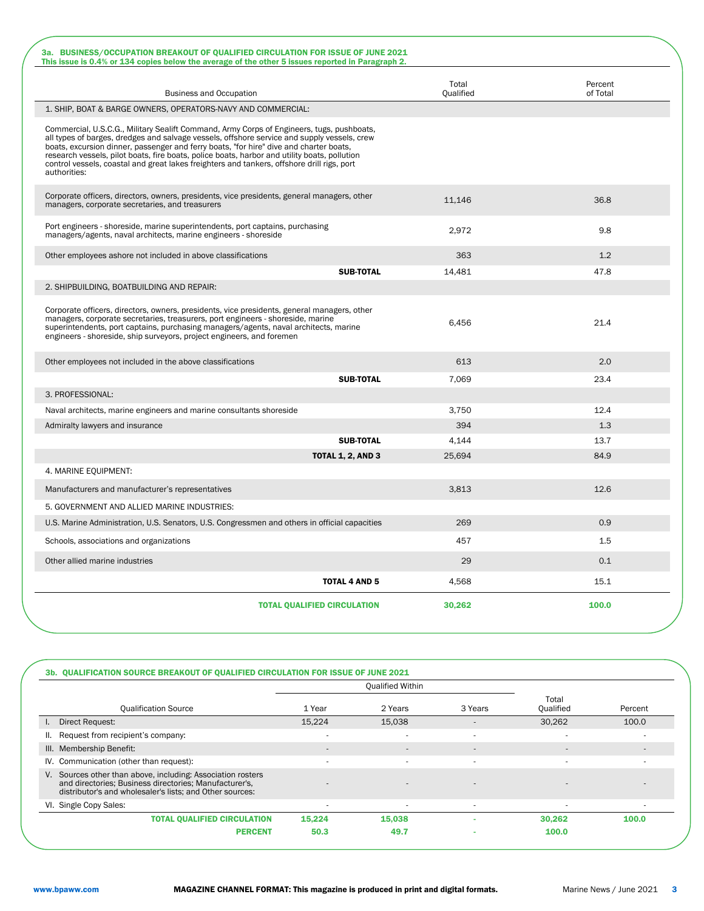| 3a. BUSINESS/OCCUPATION BREAKOUT OF QUALIFIED CIRCULATION FOR ISSUE OF JUNE 2021                                                                                                                                                                                                                                                                                                                                                                                                                 |                    |                     |
|--------------------------------------------------------------------------------------------------------------------------------------------------------------------------------------------------------------------------------------------------------------------------------------------------------------------------------------------------------------------------------------------------------------------------------------------------------------------------------------------------|--------------------|---------------------|
| This issue is 0.4% or 134 copies below the average of the other 5 issues reported in Paragraph 2.                                                                                                                                                                                                                                                                                                                                                                                                |                    |                     |
| <b>Business and Occupation</b>                                                                                                                                                                                                                                                                                                                                                                                                                                                                   | Total<br>Qualified | Percent<br>of Total |
| 1. SHIP, BOAT & BARGE OWNERS, OPERATORS-NAVY AND COMMERCIAL:                                                                                                                                                                                                                                                                                                                                                                                                                                     |                    |                     |
| Commercial, U.S.C.G., Military Sealift Command, Army Corps of Engineers, tugs, pushboats,<br>all types of barges, dredges and salvage vessels, offshore service and supply vessels, crew<br>boats, excursion dinner, passenger and ferry boats, "for hire" dive and charter boats,<br>research vessels, pilot boats, fire boats, police boats, harbor and utility boats, pollution<br>control vessels, coastal and great lakes freighters and tankers, offshore drill rigs, port<br>authorities: |                    |                     |
| Corporate officers, directors, owners, presidents, vice presidents, general managers, other<br>managers, corporate secretaries, and treasurers                                                                                                                                                                                                                                                                                                                                                   | 11.146             | 36.8                |
| Port engineers - shoreside, marine superintendents, port captains, purchasing<br>managers/agents, naval architects, marine engineers - shoreside                                                                                                                                                                                                                                                                                                                                                 | 2,972              | 9.8                 |
| Other employees ashore not included in above classifications                                                                                                                                                                                                                                                                                                                                                                                                                                     | 363                | 1.2                 |
| <b>SUB-TOTAL</b>                                                                                                                                                                                                                                                                                                                                                                                                                                                                                 | 14,481             | 47.8                |
| 2. SHIPBUILDING, BOATBUILDING AND REPAIR:                                                                                                                                                                                                                                                                                                                                                                                                                                                        |                    |                     |
| Corporate officers, directors, owners, presidents, vice presidents, general managers, other<br>managers, corporate secretaries, treasurers, port engineers - shoreside, marine<br>superintendents, port captains, purchasing managers/agents, naval architects, marine<br>engineers - shoreside, ship surveyors, project engineers, and foremen                                                                                                                                                  | 6,456              | 21.4                |
| Other employees not included in the above classifications                                                                                                                                                                                                                                                                                                                                                                                                                                        | 613                | 2.0                 |
| <b>SUB-TOTAL</b>                                                                                                                                                                                                                                                                                                                                                                                                                                                                                 | 7,069              | 23.4                |
| 3. PROFESSIONAL:                                                                                                                                                                                                                                                                                                                                                                                                                                                                                 |                    |                     |
| Naval architects, marine engineers and marine consultants shoreside                                                                                                                                                                                                                                                                                                                                                                                                                              | 3,750              | 12.4                |
| Admiralty lawyers and insurance                                                                                                                                                                                                                                                                                                                                                                                                                                                                  | 394                | 1.3                 |
| <b>SUB-TOTAL</b>                                                                                                                                                                                                                                                                                                                                                                                                                                                                                 | 4,144              | 13.7                |
| <b>TOTAL 1, 2, AND 3</b>                                                                                                                                                                                                                                                                                                                                                                                                                                                                         | 25,694             | 84.9                |
| 4. MARINE EQUIPMENT:                                                                                                                                                                                                                                                                                                                                                                                                                                                                             |                    |                     |
| Manufacturers and manufacturer's representatives                                                                                                                                                                                                                                                                                                                                                                                                                                                 | 3,813              | 12.6                |
| 5. GOVERNMENT AND ALLIED MARINE INDUSTRIES:                                                                                                                                                                                                                                                                                                                                                                                                                                                      |                    |                     |
| U.S. Marine Administration, U.S. Senators, U.S. Congressmen and others in official capacities                                                                                                                                                                                                                                                                                                                                                                                                    | 269                | 0.9                 |
| Schools, associations and organizations                                                                                                                                                                                                                                                                                                                                                                                                                                                          | 457                | 1.5                 |
| Other allied marine industries                                                                                                                                                                                                                                                                                                                                                                                                                                                                   | 29                 | 0.1                 |
| <b>TOTAL 4 AND 5</b>                                                                                                                                                                                                                                                                                                                                                                                                                                                                             | 4,568              | 15.1                |
| <b>TOTAL QUALIFIED CIRCULATION</b>                                                                                                                                                                                                                                                                                                                                                                                                                                                               | 30,262             | 100.0               |

|                                                                                                                                                                                   |                   | <b>Qualified Within</b> |                          |                          |         |
|-----------------------------------------------------------------------------------------------------------------------------------------------------------------------------------|-------------------|-------------------------|--------------------------|--------------------------|---------|
| <b>Qualification Source</b>                                                                                                                                                       | 2 Years<br>1 Year |                         | 3 Years                  | Total<br>Qualified       | Percent |
| I. Direct Request:                                                                                                                                                                | 15,224            | 15,038                  | $\overline{\phantom{a}}$ | 30,262                   | 100.0   |
| II. Request from recipient's company:                                                                                                                                             | ٠                 | $\sim$                  | $\overline{\phantom{a}}$ | $\sim$                   | ۰       |
| III. Membership Benefit:                                                                                                                                                          | $\overline{a}$    | $\sim$                  | $\overline{\phantom{a}}$ | $\overline{a}$           |         |
| IV. Communication (other than request):                                                                                                                                           | $\overline{a}$    | ٠                       | $\overline{\phantom{a}}$ | $\sim$                   |         |
| V. Sources other than above, including: Association rosters<br>and directories; Business directories; Manufacturer's,<br>distributor's and wholesaler's lists; and Other sources: |                   |                         | $\overline{\phantom{a}}$ |                          |         |
| VI. Single Copy Sales:                                                                                                                                                            | ٠.                | ۰                       | ٠                        | $\overline{\phantom{a}}$ |         |
| <b>TOTAL QUALIFIED CIRCULATION</b>                                                                                                                                                | 15,224            | 15,038                  |                          | 30,262                   | 100.0   |
| <b>PERCENT</b>                                                                                                                                                                    | 50.3              | 49.7                    | $\sim$                   | 100.0                    |         |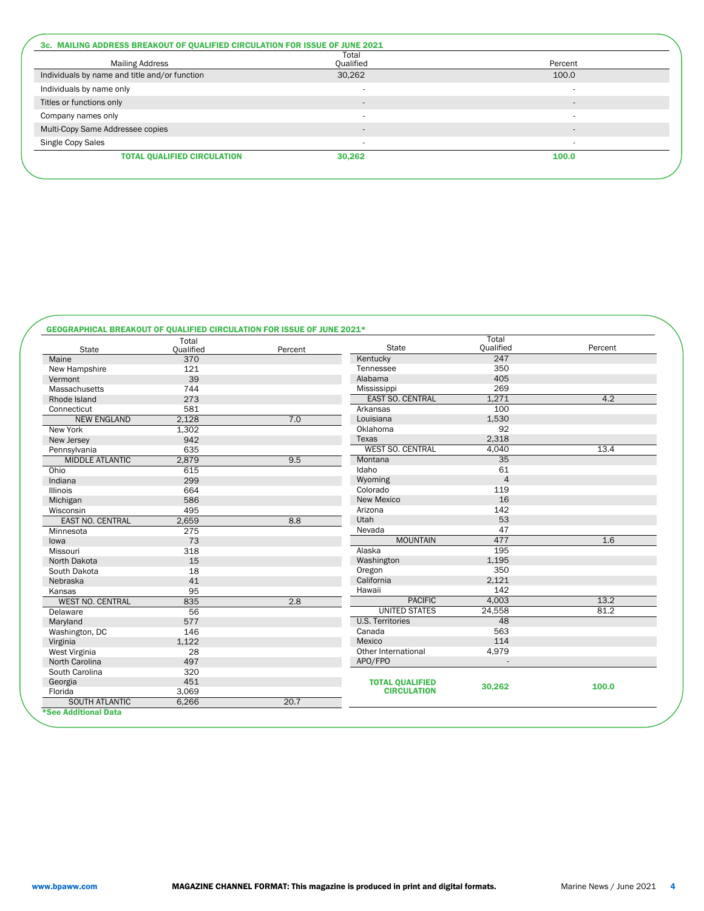| <b>Mailing Address</b>                        | Total<br>Qualified       | Percent                  |  |
|-----------------------------------------------|--------------------------|--------------------------|--|
| Individuals by name and title and/or function | 30,262                   | 100.0                    |  |
| Individuals by name only                      |                          |                          |  |
| Titles or functions only                      | $\overline{\phantom{a}}$ | $\overline{a}$           |  |
| Company names only                            | $\overline{\phantom{a}}$ | $\overline{\phantom{a}}$ |  |
| Multi-Copy Same Addressee copies              | $\overline{a}$           | $\overline{a}$           |  |
| Single Copy Sales                             | $\overline{\phantom{a}}$ | $\overline{\phantom{a}}$ |  |
| <b>TOTAL QUALIFIED CIRCULATION</b>            | 30,262                   | 100.0                    |  |

# GEOGRAPHICAL BREAKOUT OF QUALIFIED CIRCULATION FOR ISSUE OF JUNE 2021\*

| <b>State</b>            | Total<br>Qualified | Percent | <b>State</b>            | Total<br>Qualified | Percent |
|-------------------------|--------------------|---------|-------------------------|--------------------|---------|
| Maine                   | 370                |         | Kentucky                | 247                |         |
| New Hampshire           | 121                |         | Tennessee               | 350                |         |
| Vermont                 | 39                 |         | Alabama                 | 405                |         |
| Massachusetts           | 744                |         | Mississippi             | 269                |         |
| Rhode Island            | 273                |         | <b>EAST SO. CENTRAL</b> | 1,271              | 4.2     |
| Connecticut             | 581                |         | Arkansas                | 100                |         |
| <b>NEW ENGLAND</b>      | 2.128              | 7.0     | Louisiana               | 1,530              |         |
| New York                | 1,302              |         | Oklahoma                | 92                 |         |
| New Jersey              | 942                |         | Texas                   | 2,318              |         |
| Pennsylvania            | 635                |         | <b>WEST SO. CENTRAL</b> | 4,040              | 13.4    |
| <b>MIDDLE ATLANTIC</b>  | 2.879              | 9.5     | Montana                 | 35                 |         |
| Ohio                    | 615                |         | Idaho                   | 61                 |         |
| Indiana                 | 299                |         | Wyoming                 | $\overline{4}$     |         |
| <b>Illinois</b>         | 664                |         | Colorado                | 119                |         |
| Michigan                | 586                |         | <b>New Mexico</b>       | 16                 |         |
| Wisconsin               | 495                |         | Arizona                 | 142                |         |
| <b>EAST NO. CENTRAL</b> | 2,659              | 8.8     | Utah                    | 53                 |         |
| Minnesota               | 275                |         | Nevada                  | 47                 |         |
| lowa                    | 73                 |         | <b>MOUNTAIN</b>         | 477                | 1.6     |
| Missouri                | 318                |         | Alaska                  | 195                |         |
| North Dakota            | 15                 |         | Washington              | 1,195              |         |
| South Dakota            | 18                 |         | Oregon                  | 350                |         |
| Nebraska                | 41                 |         | California              | 2,121              |         |
| Kansas                  | 95                 |         | Hawaii                  | 142                |         |
| <b>WEST NO. CENTRAL</b> | 835                | 2.8     | <b>PACIFIC</b>          | 4,003              | 13.2    |
| Delaware                | 56                 |         | <b>UNITED STATES</b>    | 24,558             | 81.2    |
| Maryland                | 577                |         | <b>U.S. Territories</b> | 48                 |         |
| Washington, DC          | 146                |         | Canada                  | 563                |         |
| Virginia                | 1,122              |         | Mexico                  | 114                |         |
| West Virginia           | 28                 |         | Other International     | 4,979              |         |
| North Carolina          | 497                |         | APO/FPO                 |                    |         |
| South Carolina          | 320                |         |                         |                    |         |
| Georgia                 | 451                |         | <b>TOTAL QUALIFIED</b>  |                    |         |
| Florida                 | 3,069              |         | <b>CIRCULATION</b>      | 30,262             | 100.0   |
| <b>SOUTH ATLANTIC</b>   | 6,266              | 20.7    |                         |                    |         |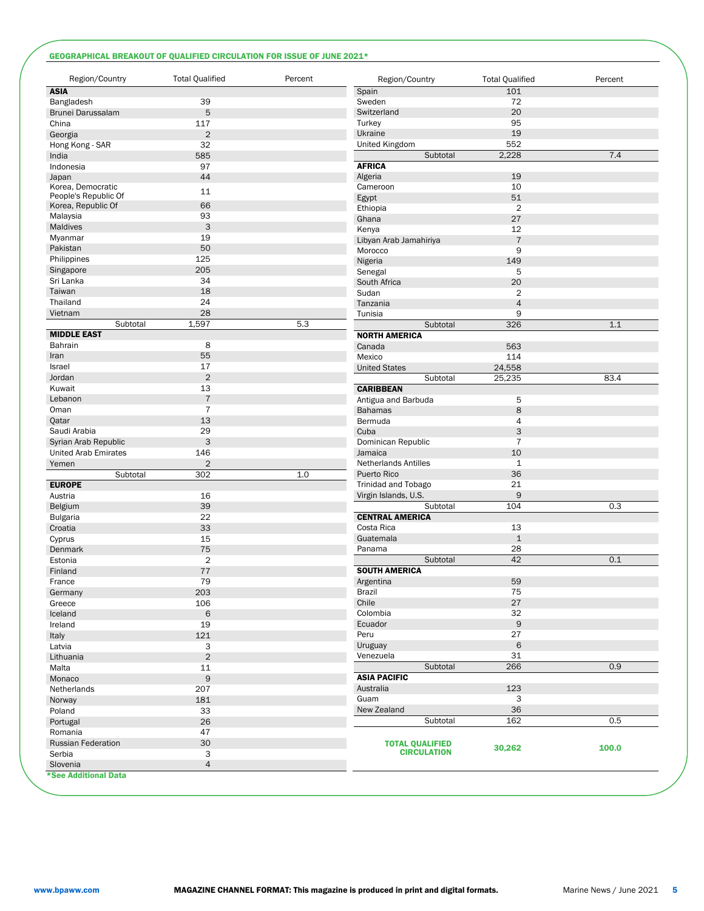# GEOGRAPHICAL BREAKOUT OF QUALIFIED CIRCULATION FOR ISSUE OF JUNE 2021\*

| Region/Country                                                                                                                                                                                                                                                                  | <b>Total Qualified</b> | Percent | Region/Country              | <b>Total Qualified</b> | Percent |
|---------------------------------------------------------------------------------------------------------------------------------------------------------------------------------------------------------------------------------------------------------------------------------|------------------------|---------|-----------------------------|------------------------|---------|
| <b>ASIA</b>                                                                                                                                                                                                                                                                     |                        |         | Spain                       | 101                    |         |
| Bangladesh                                                                                                                                                                                                                                                                      | 39                     |         | Sweden                      | 72                     |         |
| Brunei Darussalam                                                                                                                                                                                                                                                               | 5                      |         | Switzerland                 | 20                     |         |
| China                                                                                                                                                                                                                                                                           | 117                    |         | Turkey                      | 95                     |         |
| Georgia                                                                                                                                                                                                                                                                         | $\sqrt{2}$             |         | Ukraine                     | 19                     |         |
| Hong Kong - SAR                                                                                                                                                                                                                                                                 | 32                     |         | United Kingdom              | 552                    |         |
| India                                                                                                                                                                                                                                                                           | 585                    |         | Subtotal                    | 2,228                  | 7.4     |
| Indonesia                                                                                                                                                                                                                                                                       | 97                     |         | <b>AFRICA</b>               |                        |         |
|                                                                                                                                                                                                                                                                                 | 44                     |         | Algeria                     | 19                     |         |
| Japan<br>Korea, Democratic                                                                                                                                                                                                                                                      |                        |         | Cameroon                    | 10                     |         |
| People's Republic Of                                                                                                                                                                                                                                                            | 11                     |         |                             | 51                     |         |
| Korea, Republic Of                                                                                                                                                                                                                                                              | 66                     |         | Egypt                       | $\overline{2}$         |         |
| Malaysia                                                                                                                                                                                                                                                                        | 93                     |         | Ethiopia                    | 27                     |         |
| Maldives                                                                                                                                                                                                                                                                        | 3                      |         | Ghana                       |                        |         |
| Myanmar                                                                                                                                                                                                                                                                         | 19                     |         | Kenya                       | 12                     |         |
| Pakistan                                                                                                                                                                                                                                                                        | 50                     |         | Libyan Arab Jamahiriya      | $\overline{7}$         |         |
| Philippines                                                                                                                                                                                                                                                                     | 125                    |         | Morocco                     | 9                      |         |
|                                                                                                                                                                                                                                                                                 |                        |         | Nigeria                     | 149                    |         |
| Singapore                                                                                                                                                                                                                                                                       | 205                    |         | Senegal                     | 5                      |         |
| Sri Lanka                                                                                                                                                                                                                                                                       | 34                     |         | South Africa                | 20                     |         |
| Taiwan                                                                                                                                                                                                                                                                          | 18                     |         | Sudan                       | $\overline{2}$         |         |
| Thailand                                                                                                                                                                                                                                                                        | 24                     |         | Tanzania                    | $\overline{4}$         |         |
| Vietnam                                                                                                                                                                                                                                                                         | 28                     |         | Tunisia                     | 9                      |         |
| Subtotal                                                                                                                                                                                                                                                                        | 1,597                  | 5.3     | Subtotal                    | 326                    | 1.1     |
| <b>MIDDLE EAST</b>                                                                                                                                                                                                                                                              |                        |         | <b>NORTH AMERICA</b>        |                        |         |
| Bahrain                                                                                                                                                                                                                                                                         | 8                      |         | Canada                      | 563                    |         |
| Iran                                                                                                                                                                                                                                                                            | 55                     |         | Mexico                      | 114                    |         |
| Israel                                                                                                                                                                                                                                                                          | 17                     |         | <b>United States</b>        | 24,558                 |         |
| Jordan                                                                                                                                                                                                                                                                          | $\overline{2}$         |         | Subtotal                    | 25,235                 | 83.4    |
| Kuwait                                                                                                                                                                                                                                                                          | 13                     |         | <b>CARIBBEAN</b>            |                        |         |
| Lebanon                                                                                                                                                                                                                                                                         | $\overline{7}$         |         | Antigua and Barbuda         | 5                      |         |
| Oman                                                                                                                                                                                                                                                                            | $\overline{7}$         |         | <b>Bahamas</b>              | 8                      |         |
| Qatar                                                                                                                                                                                                                                                                           | 13                     |         | Bermuda                     | $\overline{4}$         |         |
| Saudi Arabia                                                                                                                                                                                                                                                                    | 29                     |         | Cuba                        | 3                      |         |
| Syrian Arab Republic                                                                                                                                                                                                                                                            | 3                      |         | Dominican Republic          | $\overline{7}$         |         |
| <b>United Arab Emirates</b>                                                                                                                                                                                                                                                     | 146                    |         | Jamaica                     | 10                     |         |
| Yemen                                                                                                                                                                                                                                                                           | $\sqrt{2}$             |         | <b>Netherlands Antilles</b> | $\mathbf{1}$           |         |
|                                                                                                                                                                                                                                                                                 | 302                    | 1.0     | Puerto Rico                 | 36                     |         |
| Subtotal                                                                                                                                                                                                                                                                        |                        |         |                             | 21                     |         |
| <b>EUROPE</b><br>Austria                                                                                                                                                                                                                                                        |                        |         | Trinidad and Tobago         |                        |         |
|                                                                                                                                                                                                                                                                                 |                        |         |                             |                        |         |
|                                                                                                                                                                                                                                                                                 | 16                     |         | Virgin Islands, U.S.        | 9                      |         |
|                                                                                                                                                                                                                                                                                 | 39                     |         | Subtotal                    | 104                    | 0.3     |
|                                                                                                                                                                                                                                                                                 | 22                     |         | <b>CENTRAL AMERICA</b>      |                        |         |
|                                                                                                                                                                                                                                                                                 | 33                     |         | Costa Rica                  | 13                     |         |
|                                                                                                                                                                                                                                                                                 | 15                     |         | Guatemala                   | $\mathbf 1$            |         |
|                                                                                                                                                                                                                                                                                 | 75                     |         | Panama                      | 28                     |         |
|                                                                                                                                                                                                                                                                                 | $\overline{2}$         |         | Subtotal                    | 42                     | 0.1     |
|                                                                                                                                                                                                                                                                                 | 77                     |         | <b>SOUTH AMERICA</b>        |                        |         |
|                                                                                                                                                                                                                                                                                 | 79                     |         | Argentina                   | 59                     |         |
|                                                                                                                                                                                                                                                                                 |                        |         | Brazil                      | 75                     |         |
|                                                                                                                                                                                                                                                                                 | 203                    |         |                             |                        |         |
|                                                                                                                                                                                                                                                                                 | 106                    |         | Chile                       | 27                     |         |
|                                                                                                                                                                                                                                                                                 | $\,6$                  |         | Colombia                    | 32                     |         |
|                                                                                                                                                                                                                                                                                 | 19                     |         | Ecuador                     | $\mathsf 9$            |         |
|                                                                                                                                                                                                                                                                                 | 121                    |         | Peru                        | 27                     |         |
|                                                                                                                                                                                                                                                                                 | 3                      |         | Uruguay                     | $\,$ 6                 |         |
|                                                                                                                                                                                                                                                                                 | $\overline{2}$         |         | Venezuela                   | 31                     |         |
|                                                                                                                                                                                                                                                                                 | 11                     |         | Subtotal                    | 266                    | 0.9     |
|                                                                                                                                                                                                                                                                                 | 9                      |         | <b>ASIA PACIFIC</b>         |                        |         |
|                                                                                                                                                                                                                                                                                 | 207                    |         | Australia                   | 123                    |         |
|                                                                                                                                                                                                                                                                                 | 181                    |         | Guam                        | 3                      |         |
|                                                                                                                                                                                                                                                                                 | 33                     |         | New Zealand                 | 36                     |         |
|                                                                                                                                                                                                                                                                                 | 26                     |         | Subtotal                    | 162                    | 0.5     |
|                                                                                                                                                                                                                                                                                 | 47                     |         |                             |                        |         |
| Belgium<br><b>Bulgaria</b><br>Croatia<br>Cyprus<br>Denmark<br>Estonia<br>Finland<br>France<br>Germany<br>Greece<br>Iceland<br>Ireland<br>Italy<br>Latvia<br>Lithuania<br>Malta<br>Monaco<br>Netherlands<br>Norway<br>Poland<br>Portugal<br>Romania<br><b>Russian Federation</b> | 30                     |         | <b>TOTAL QUALIFIED</b>      |                        |         |
| Serbia                                                                                                                                                                                                                                                                          | 3                      |         | <b>CIRCULATION</b>          | 30,262                 | 100.0   |